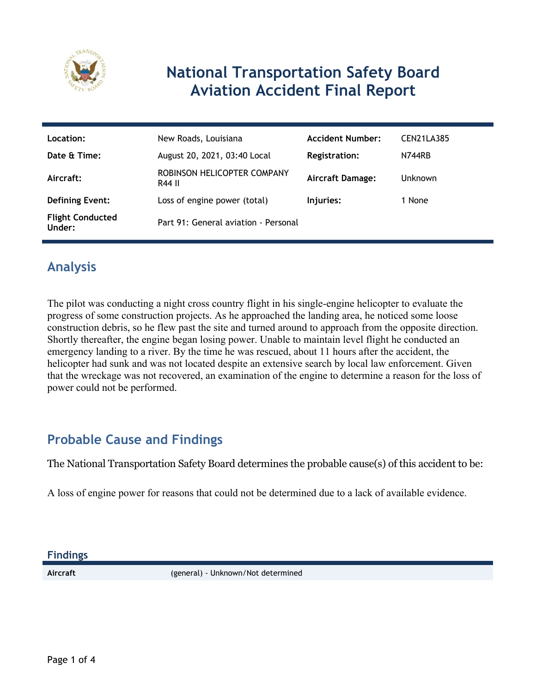

# **National Transportation Safety Board Aviation Accident Final Report**

| Location:                         | New Roads, Louisiana                  | <b>Accident Number:</b> | CEN21LA385     |
|-----------------------------------|---------------------------------------|-------------------------|----------------|
| Date & Time:                      | August 20, 2021, 03:40 Local          | <b>Registration:</b>    | N744RB         |
| Aircraft:                         | ROBINSON HELICOPTER COMPANY<br>R44 II | <b>Aircraft Damage:</b> | <b>Unknown</b> |
| <b>Defining Event:</b>            | Loss of engine power (total)          | Injuries:               | 1 None         |
| <b>Flight Conducted</b><br>Under: | Part 91: General aviation - Personal  |                         |                |

## **Analysis**

The pilot was conducting a night cross country flight in his single-engine helicopter to evaluate the progress of some construction projects. As he approached the landing area, he noticed some loose construction debris, so he flew past the site and turned around to approach from the opposite direction. Shortly thereafter, the engine began losing power. Unable to maintain level flight he conducted an emergency landing to a river. By the time he was rescued, about 11 hours after the accident, the helicopter had sunk and was not located despite an extensive search by local law enforcement. Given that the wreckage was not recovered, an examination of the engine to determine a reason for the loss of power could not be performed.

## **Probable Cause and Findings**

The National Transportation Safety Board determines the probable cause(s) of this accident to be:

A loss of engine power for reasons that could not be determined due to a lack of available evidence.

**Findings**

**Aircraft** (general) - Unknown/Not determined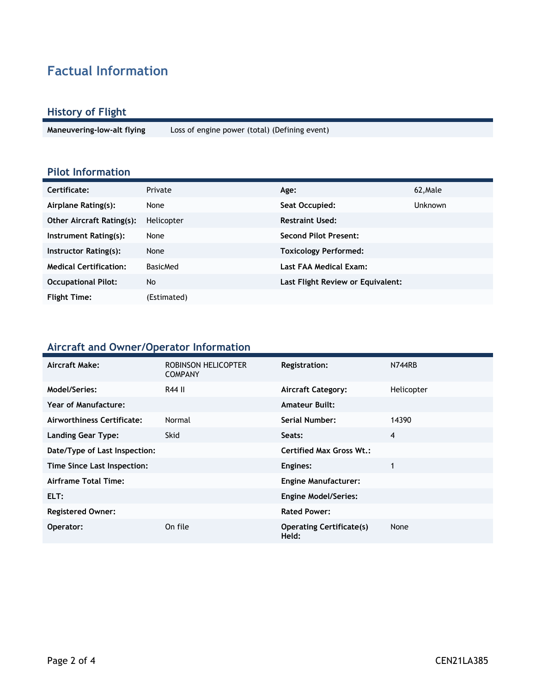# **Factual Information**

#### **History of Flight**

**Maneuvering-low-alt flying** Loss of engine power (total) (Defining event)

#### **Pilot Information**

| Certificate:                     | Private         | Age:                              | 62, Male       |
|----------------------------------|-----------------|-----------------------------------|----------------|
| Airplane Rating(s):              | None            | Seat Occupied:                    | <b>Unknown</b> |
| <b>Other Aircraft Rating(s):</b> | Helicopter      | <b>Restraint Used:</b>            |                |
| Instrument Rating(s):            | None            | Second Pilot Present:             |                |
| Instructor Rating(s):            | None            | <b>Toxicology Performed:</b>      |                |
| <b>Medical Certification:</b>    | <b>BasicMed</b> | Last FAA Medical Exam:            |                |
| <b>Occupational Pilot:</b>       | No.             | Last Flight Review or Equivalent: |                |
| <b>Flight Time:</b>              | (Estimated)     |                                   |                |

#### **Aircraft and Owner/Operator Information**

| Aircraft Make:                | ROBINSON HELICOPTER<br><b>COMPANY</b> | <b>Registration:</b>                     | N744RB     |
|-------------------------------|---------------------------------------|------------------------------------------|------------|
| Model/Series:                 | R44 II                                | <b>Aircraft Category:</b>                | Helicopter |
| Year of Manufacture:          |                                       | <b>Amateur Built:</b>                    |            |
| Airworthiness Certificate:    | Normal                                | Serial Number:                           | 14390      |
| <b>Landing Gear Type:</b>     | <b>Skid</b>                           | Seats:                                   | 4          |
| Date/Type of Last Inspection: |                                       | <b>Certified Max Gross Wt.:</b>          |            |
| Time Since Last Inspection:   |                                       | Engines:                                 |            |
| Airframe Total Time:          |                                       | <b>Engine Manufacturer:</b>              |            |
| ELT:                          |                                       | <b>Engine Model/Series:</b>              |            |
| <b>Registered Owner:</b>      |                                       | <b>Rated Power:</b>                      |            |
| Operator:                     | On file                               | <b>Operating Certificate(s)</b><br>Held: | None       |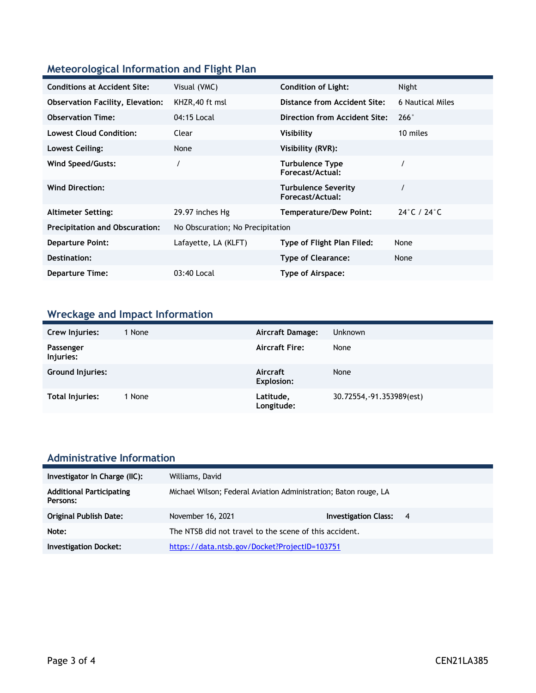#### **Meteorological Information and Flight Plan**

| <b>Conditions at Accident Site:</b>     | Visual (VMC)                     | <b>Condition of Light:</b>                     | Night                           |
|-----------------------------------------|----------------------------------|------------------------------------------------|---------------------------------|
| <b>Observation Facility, Elevation:</b> | KHZR, 40 ft msl                  | Distance from Accident Site:                   | 6 Nautical Miles                |
| <b>Observation Time:</b>                | 04:15 Local                      | Direction from Accident Site:                  | 266°                            |
| <b>Lowest Cloud Condition:</b>          | Clear                            | Visibility                                     | 10 miles                        |
| Lowest Ceiling:                         | None                             | Visibility (RVR):                              |                                 |
| Wind Speed/Gusts:                       |                                  | <b>Turbulence Type</b><br>Forecast/Actual:     |                                 |
| <b>Wind Direction:</b>                  |                                  | <b>Turbulence Severity</b><br>Forecast/Actual: |                                 |
| <b>Altimeter Setting:</b>               | 29.97 inches Hg                  | <b>Temperature/Dew Point:</b>                  | $24^{\circ}$ C / $24^{\circ}$ C |
| <b>Precipitation and Obscuration:</b>   | No Obscuration; No Precipitation |                                                |                                 |
| <b>Departure Point:</b>                 | Lafayette, LA (KLFT)             | Type of Flight Plan Filed:                     | None                            |
| Destination:                            |                                  | <b>Type of Clearance:</b>                      | None                            |
| <b>Departure Time:</b>                  | 03:40 Local                      | Type of Airspace:                              |                                 |

## **Wreckage and Impact Information**

| Crew Injuries:         | 1 None | Aircraft Damage:              | <b>Unknown</b>            |
|------------------------|--------|-------------------------------|---------------------------|
| Passenger<br>Injuries: |        | <b>Aircraft Fire:</b>         | None                      |
| Ground Injuries:       |        | Aircraft<br><b>Explosion:</b> | None                      |
| Total Injuries:        | 1 None | Latitude,<br>Longitude:       | 30.72554, -91.353989(est) |

# **Administrative Information**

| Investigator In Charge (IIC):               | Williams, David                                                  |                               |  |
|---------------------------------------------|------------------------------------------------------------------|-------------------------------|--|
| <b>Additional Participating</b><br>Persons: | Michael Wilson; Federal Aviation Administration; Baton rouge, LA |                               |  |
| <b>Original Publish Date:</b>               | November 16, 2021                                                | <b>Investigation Class: 4</b> |  |
| Note:                                       | The NTSB did not travel to the scene of this accident.           |                               |  |
| <b>Investigation Docket:</b>                | https://data.ntsb.gov/Docket?ProjectID=103751                    |                               |  |